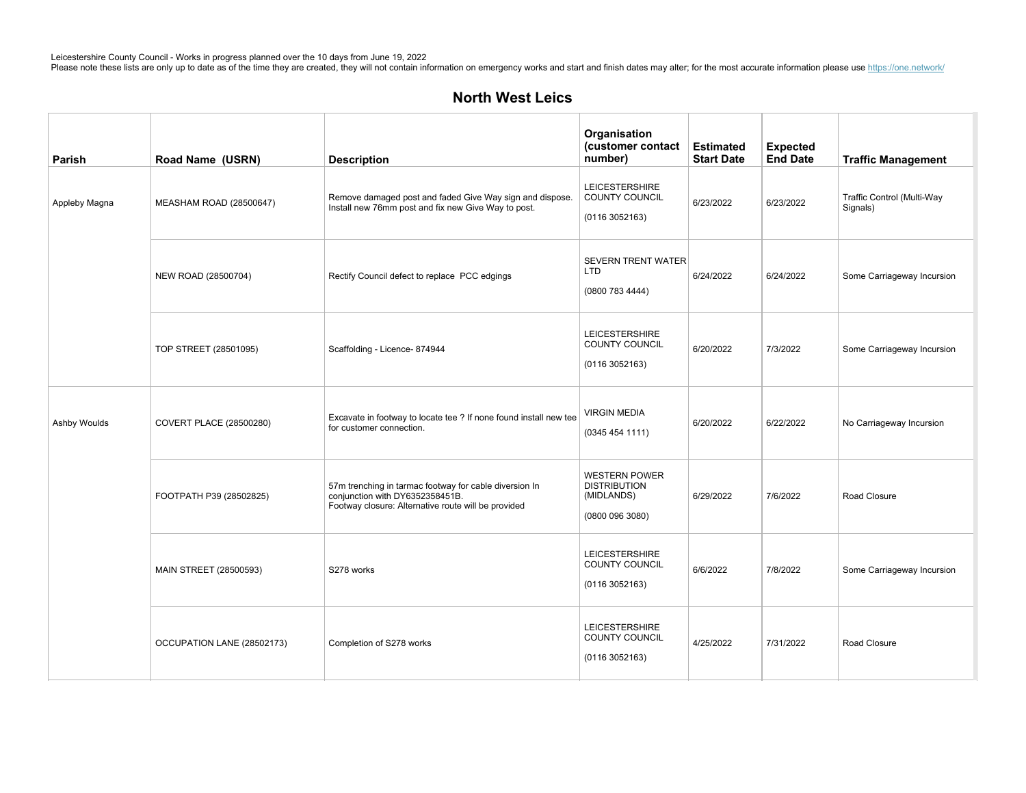| Parish        | Road Name (USRN)               | <b>Description</b>                                                                                                                               | Organisation<br>(customer contact<br>number)                                 | <b>Estimated</b><br><b>Start Date</b> | <b>Expected</b><br><b>End Date</b> | <b>Traffic Management</b>              |
|---------------|--------------------------------|--------------------------------------------------------------------------------------------------------------------------------------------------|------------------------------------------------------------------------------|---------------------------------------|------------------------------------|----------------------------------------|
| Appleby Magna | MEASHAM ROAD (28500647)        | Remove damaged post and faded Give Way sign and dispose.<br>Install new 76mm post and fix new Give Way to post.                                  | <b>LEICESTERSHIRE</b><br><b>COUNTY COUNCIL</b><br>(01163052163)              | 6/23/2022                             | 6/23/2022                          | Traffic Control (Multi-Way<br>Signals) |
|               | NEW ROAD (28500704)            | Rectify Council defect to replace PCC edgings                                                                                                    | SEVERN TRENT WATER<br><b>LTD</b><br>(08007834444)                            | 6/24/2022                             | 6/24/2022                          | Some Carriageway Incursion             |
|               | TOP STREET (28501095)          | Scaffolding - Licence- 874944                                                                                                                    | <b>LEICESTERSHIRE</b><br>COUNTY COUNCIL<br>(01163052163)                     | 6/20/2022                             | 7/3/2022                           | Some Carriageway Incursion             |
| Ashby Woulds  | <b>COVERT PLACE (28500280)</b> | Excavate in footway to locate tee ? If none found install new tee<br>for customer connection.                                                    | <b>VIRGIN MEDIA</b><br>(03454541111)                                         | 6/20/2022                             | 6/22/2022                          | No Carriageway Incursion               |
|               | FOOTPATH P39 (28502825)        | 57m trenching in tarmac footway for cable diversion In<br>conjunction with DY6352358451B.<br>Footway closure: Alternative route will be provided | <b>WESTERN POWER</b><br><b>DISTRIBUTION</b><br>(MIDLANDS)<br>(0800 096 3080) | 6/29/2022                             | 7/6/2022                           | Road Closure                           |
|               | MAIN STREET (28500593)         | S278 works                                                                                                                                       | <b>LEICESTERSHIRE</b><br>COUNTY COUNCIL<br>(01163052163)                     | 6/6/2022                              | 7/8/2022                           | Some Carriageway Incursion             |
|               | OCCUPATION LANE (28502173)     | Completion of S278 works                                                                                                                         | <b>LEICESTERSHIRE</b><br>COUNTY COUNCIL<br>(0116 3052163)                    | 4/25/2022                             | 7/31/2022                          | Road Closure                           |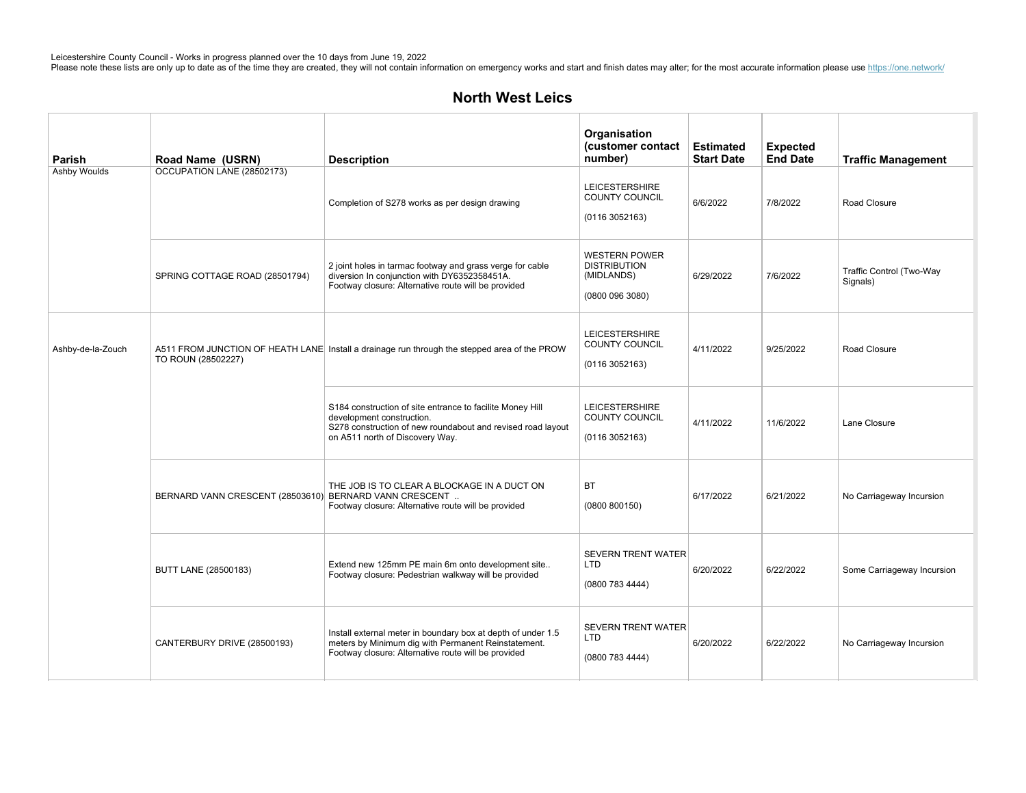| Parish            | Road Name (USRN)                 | <b>Description</b>                                                                                                                                                                       | Organisation<br>(customer contact<br>number)                                 | <b>Estimated</b><br><b>Start Date</b> | <b>Expected</b><br><b>End Date</b> | <b>Traffic Management</b>            |
|-------------------|----------------------------------|------------------------------------------------------------------------------------------------------------------------------------------------------------------------------------------|------------------------------------------------------------------------------|---------------------------------------|------------------------------------|--------------------------------------|
| Ashby Woulds      | OCCUPATION LANE (28502173)       | Completion of S278 works as per design drawing                                                                                                                                           | <b>LEICESTERSHIRE</b><br><b>COUNTY COUNCIL</b><br>(0116 3052163)             | 6/6/2022                              | 7/8/2022                           | Road Closure                         |
|                   | SPRING COTTAGE ROAD (28501794)   | 2 joint holes in tarmac footway and grass verge for cable<br>diversion In conjunction with DY6352358451A.<br>Footway closure: Alternative route will be provided                         | <b>WESTERN POWER</b><br><b>DISTRIBUTION</b><br>(MIDLANDS)<br>(0800 096 3080) | 6/29/2022                             | 7/6/2022                           | Traffic Control (Two-Way<br>Signals) |
| Ashby-de-la-Zouch | TO ROUN (28502227)               | A511 FROM JUNCTION OF HEATH LANE Install a drainage run through the stepped area of the PROW                                                                                             | <b>LEICESTERSHIRE</b><br><b>COUNTY COUNCIL</b><br>(01163052163)              | 4/11/2022                             | 9/25/2022                          | Road Closure                         |
|                   |                                  | S184 construction of site entrance to facilite Money Hill<br>development construction.<br>S278 construction of new roundabout and revised road layout<br>on A511 north of Discovery Way. | <b>LEICESTERSHIRE</b><br>COUNTY COUNCIL<br>(0116 3052163)                    | 4/11/2022                             | 11/6/2022                          | Lane Closure                         |
|                   | BERNARD VANN CRESCENT (28503610) | THE JOB IS TO CLEAR A BLOCKAGE IN A DUCT ON<br>BERNARD VANN CRESCENT<br>Footway closure: Alternative route will be provided                                                              | <b>BT</b><br>(0800 800150)                                                   | 6/17/2022                             | 6/21/2022                          | No Carriageway Incursion             |
|                   | BUTT LANE (28500183)             | Extend new 125mm PE main 6m onto development site<br>Footway closure: Pedestrian walkway will be provided                                                                                | <b>SEVERN TRENT WATER</b><br><b>LTD</b><br>(0800 783 4444)                   | 6/20/2022                             | 6/22/2022                          | Some Carriageway Incursion           |
|                   | CANTERBURY DRIVE (28500193)      | Install external meter in boundary box at depth of under 1.5<br>meters by Minimum dig with Permanent Reinstatement.<br>Footway closure: Alternative route will be provided               | <b>SEVERN TRENT WATER</b><br>LTD<br>(0800 783 4444)                          | 6/20/2022                             | 6/22/2022                          | No Carriageway Incursion             |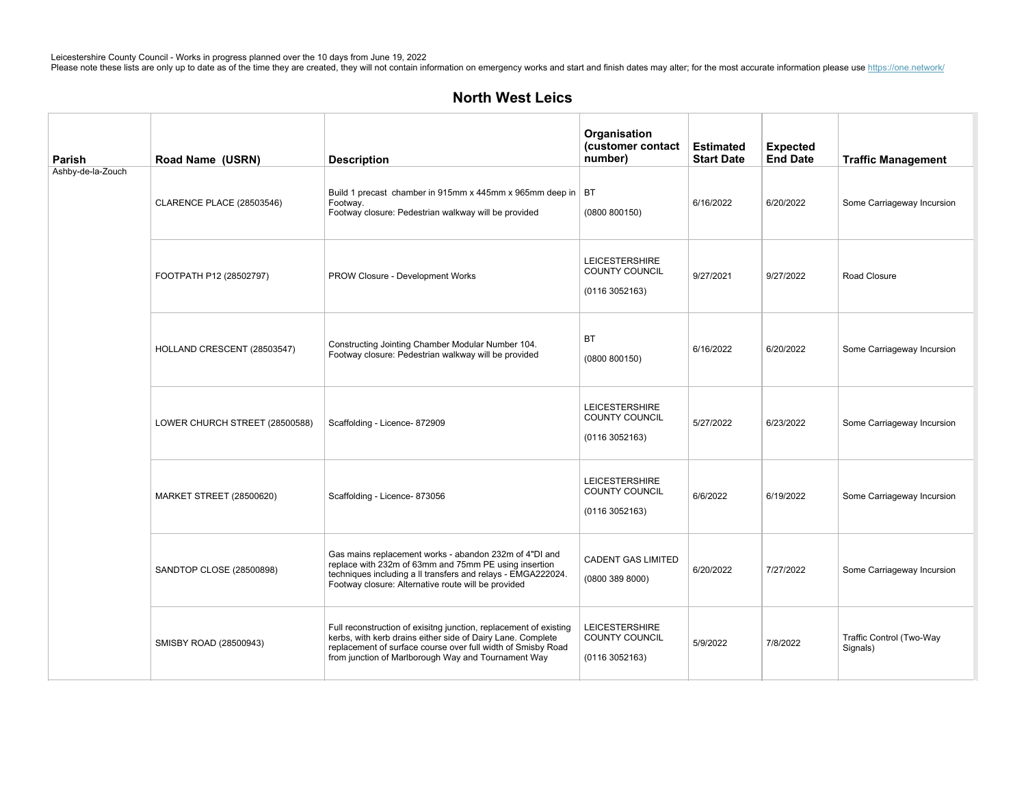| Parish            | Road Name (USRN)                 | <b>Description</b>                                                                                                                                                                                                                                      | Organisation<br>(customer contact<br>number)                    | <b>Estimated</b><br><b>Start Date</b> | <b>Expected</b><br><b>End Date</b> | <b>Traffic Management</b>            |
|-------------------|----------------------------------|---------------------------------------------------------------------------------------------------------------------------------------------------------------------------------------------------------------------------------------------------------|-----------------------------------------------------------------|---------------------------------------|------------------------------------|--------------------------------------|
| Ashby-de-la-Zouch | <b>CLARENCE PLACE (28503546)</b> | Build 1 precast chamber in 915mm x 445mm x 965mm deep in   BT<br>Footway.<br>Footway closure: Pedestrian walkway will be provided                                                                                                                       | (0800 800150)                                                   | 6/16/2022                             | 6/20/2022                          | Some Carriageway Incursion           |
|                   | FOOTPATH P12 (28502797)          | PROW Closure - Development Works                                                                                                                                                                                                                        | <b>LEICESTERSHIRE</b><br>COUNTY COUNCIL<br>(01163052163)        | 9/27/2021                             | 9/27/2022                          | Road Closure                         |
|                   | HOLLAND CRESCENT (28503547)      | Constructing Jointing Chamber Modular Number 104.<br>Footway closure: Pedestrian walkway will be provided                                                                                                                                               | <b>BT</b><br>(0800 800150)                                      | 6/16/2022                             | 6/20/2022                          | Some Carriageway Incursion           |
|                   | LOWER CHURCH STREET (28500588)   | Scaffolding - Licence- 872909                                                                                                                                                                                                                           | <b>LEICESTERSHIRE</b><br><b>COUNTY COUNCIL</b><br>(01163052163) | 5/27/2022                             | 6/23/2022                          | Some Carriageway Incursion           |
|                   | <b>MARKET STREET (28500620)</b>  | Scaffolding - Licence- 873056                                                                                                                                                                                                                           | <b>LEICESTERSHIRE</b><br><b>COUNTY COUNCIL</b><br>(01163052163) | 6/6/2022                              | 6/19/2022                          | Some Carriageway Incursion           |
|                   | SANDTOP CLOSE (28500898)         | Gas mains replacement works - abandon 232m of 4"DI and<br>replace with 232m of 63mm and 75mm PE using insertion<br>techniques including a II transfers and relays - EMGA222024.<br>Footway closure: Alternative route will be provided                  | <b>CADENT GAS LIMITED</b><br>(0800 389 8000)                    | 6/20/2022                             | 7/27/2022                          | Some Carriageway Incursion           |
|                   | SMISBY ROAD (28500943)           | Full reconstruction of exisitng junction, replacement of existing<br>kerbs, with kerb drains either side of Dairy Lane. Complete<br>replacement of surface course over full width of Smisby Road<br>from junction of Marlborough Way and Tournament Way | <b>LEICESTERSHIRE</b><br>COUNTY COUNCIL<br>(01163052163)        | 5/9/2022                              | 7/8/2022                           | Traffic Control (Two-Way<br>Signals) |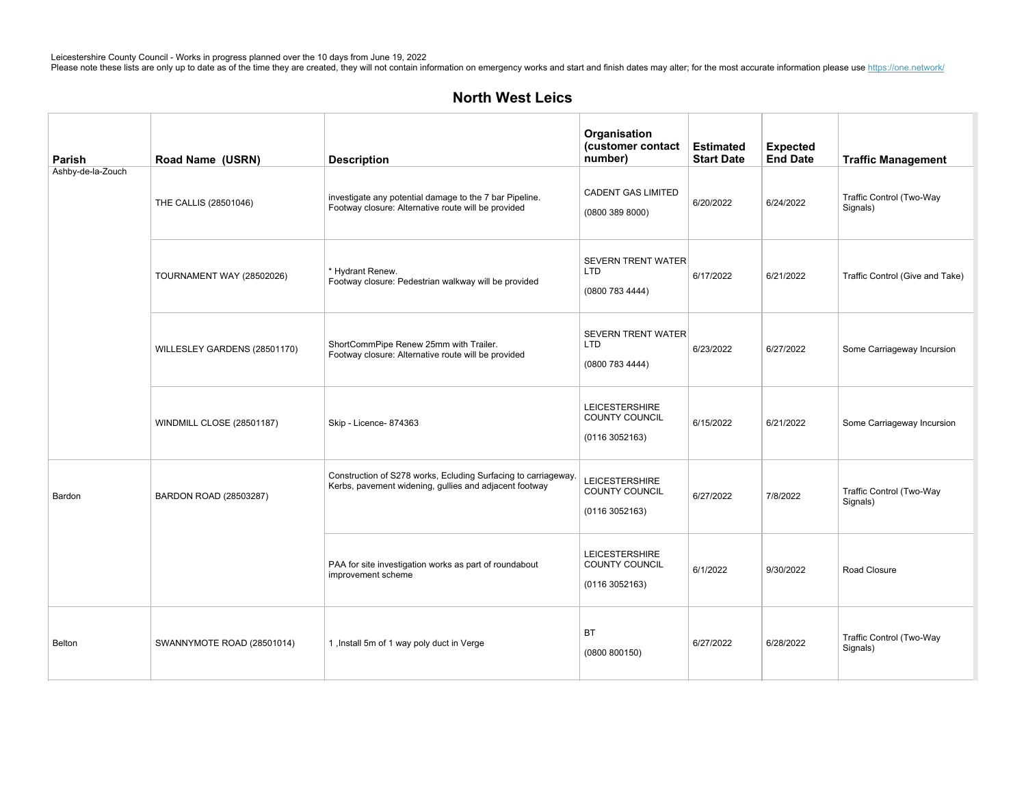| Parish            | Road Name (USRN)                 | <b>Description</b>                                                                                                       | Organisation<br>(customer contact<br>number)               | <b>Estimated</b><br><b>Start Date</b> | <b>Expected</b><br><b>End Date</b> | <b>Traffic Management</b>            |
|-------------------|----------------------------------|--------------------------------------------------------------------------------------------------------------------------|------------------------------------------------------------|---------------------------------------|------------------------------------|--------------------------------------|
| Ashby-de-la-Zouch | THE CALLIS (28501046)            | investigate any potential damage to the 7 bar Pipeline.<br>Footway closure: Alternative route will be provided           | <b>CADENT GAS LIMITED</b><br>(0800 389 8000)               | 6/20/2022                             | 6/24/2022                          | Traffic Control (Two-Way<br>Signals) |
|                   | <b>TOURNAMENT WAY (28502026)</b> | * Hydrant Renew.<br>Footway closure: Pedestrian walkway will be provided                                                 | <b>SEVERN TRENT WATER</b><br><b>LTD</b><br>(0800 783 4444) | 6/17/2022                             | 6/21/2022                          | Traffic Control (Give and Take)      |
|                   | WILLESLEY GARDENS (28501170)     | ShortCommPipe Renew 25mm with Trailer.<br>Footway closure: Alternative route will be provided                            | <b>SEVERN TRENT WATER</b><br><b>LTD</b><br>(0800 783 4444) | 6/23/2022                             | 6/27/2022                          | Some Carriageway Incursion           |
|                   | WINDMILL CLOSE (28501187)        | Skip - Licence- 874363                                                                                                   | <b>LEICESTERSHIRE</b><br>COUNTY COUNCIL<br>(01163052163)   | 6/15/2022                             | 6/21/2022                          | Some Carriageway Incursion           |
| Bardon            | BARDON ROAD (28503287)           | Construction of S278 works, Ecluding Surfacing to carriageway.<br>Kerbs, pavement widening, gullies and adjacent footway | <b>LEICESTERSHIRE</b><br>COUNTY COUNCIL<br>(01163052163)   | 6/27/2022                             | 7/8/2022                           | Traffic Control (Two-Way<br>Signals) |
|                   |                                  | PAA for site investigation works as part of roundabout<br>improvement scheme                                             | <b>LEICESTERSHIRE</b><br>COUNTY COUNCIL<br>(01163052163)   | 6/1/2022                              | 9/30/2022                          | Road Closure                         |
| Belton            | SWANNYMOTE ROAD (28501014)       | 1, Install 5m of 1 way poly duct in Verge                                                                                | <b>BT</b><br>(0800 800150)                                 | 6/27/2022                             | 6/28/2022                          | Traffic Control (Two-Way<br>Signals) |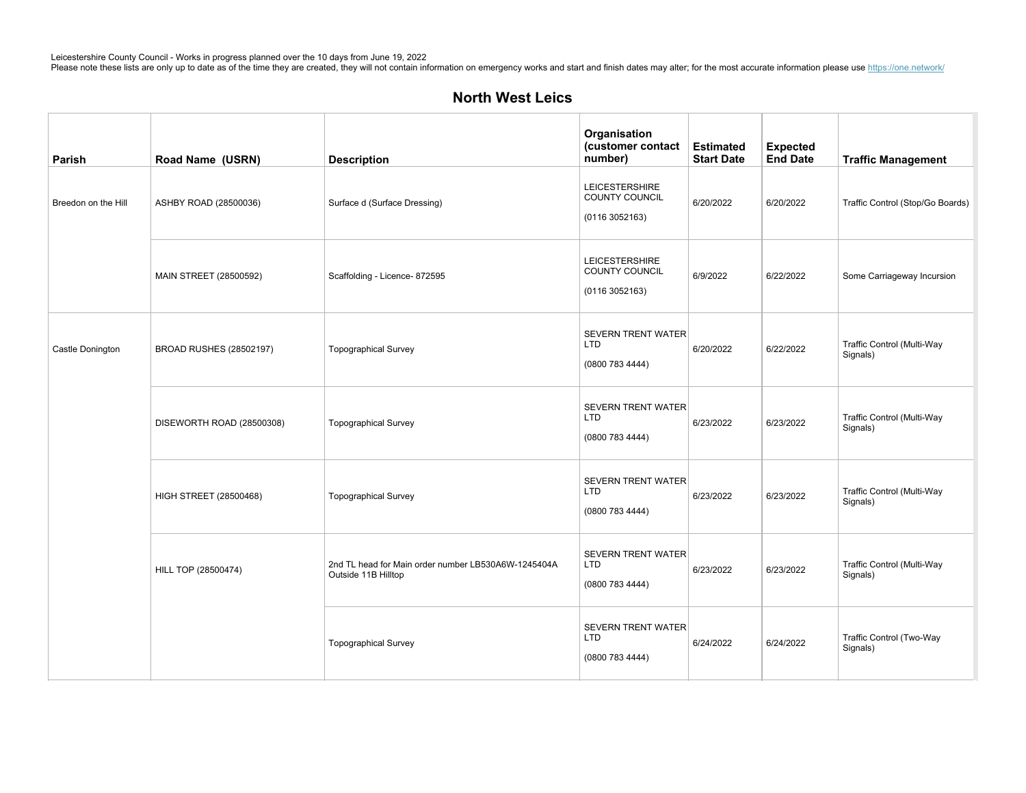| Parish              | Road Name (USRN)              | <b>Description</b>                                                         | Organisation<br>(customer contact<br>number)               | <b>Estimated</b><br><b>Start Date</b> | <b>Expected</b><br><b>End Date</b> | <b>Traffic Management</b>              |
|---------------------|-------------------------------|----------------------------------------------------------------------------|------------------------------------------------------------|---------------------------------------|------------------------------------|----------------------------------------|
| Breedon on the Hill | ASHBY ROAD (28500036)         | Surface d (Surface Dressing)                                               | LEICESTERSHIRE<br>COUNTY COUNCIL<br>(01163052163)          | 6/20/2022                             | 6/20/2022                          | Traffic Control (Stop/Go Boards)       |
|                     | MAIN STREET (28500592)        | Scaffolding - Licence- 872595                                              | <b>LEICESTERSHIRE</b><br>COUNTY COUNCIL<br>(01163052163)   | 6/9/2022                              | 6/22/2022                          | Some Carriageway Incursion             |
| Castle Donington    | BROAD RUSHES (28502197)       | <b>Topographical Survey</b>                                                | <b>SEVERN TRENT WATER</b><br><b>LTD</b><br>(0800 783 4444) | 6/20/2022                             | 6/22/2022                          | Traffic Control (Multi-Way<br>Signals) |
|                     | DISEWORTH ROAD (28500308)     | <b>Topographical Survey</b>                                                | <b>SEVERN TRENT WATER</b><br><b>LTD</b><br>(0800 783 4444) | 6/23/2022                             | 6/23/2022                          | Traffic Control (Multi-Way<br>Signals) |
|                     | <b>HIGH STREET (28500468)</b> | <b>Topographical Survey</b>                                                | <b>SEVERN TRENT WATER</b><br><b>LTD</b><br>(0800 783 4444) | 6/23/2022                             | 6/23/2022                          | Traffic Control (Multi-Way<br>Signals) |
|                     | HILL TOP (28500474)           | 2nd TL head for Main order number LB530A6W-1245404A<br>Outside 11B Hilltop | <b>SEVERN TRENT WATER</b><br><b>LTD</b><br>(0800 783 4444) | 6/23/2022                             | 6/23/2022                          | Traffic Control (Multi-Way<br>Signals) |
|                     |                               | <b>Topographical Survey</b>                                                | <b>SEVERN TRENT WATER</b><br>LTD<br>(0800 783 4444)        | 6/24/2022                             | 6/24/2022                          | Traffic Control (Two-Way<br>Signals)   |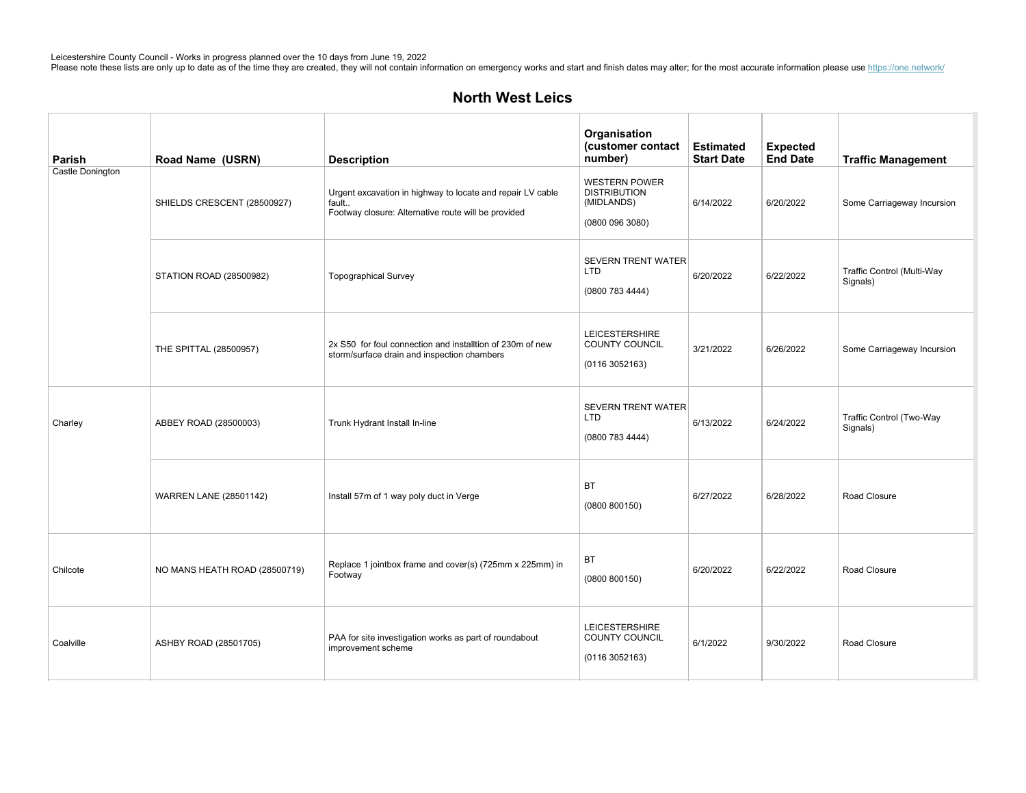| Parish           | Road Name (USRN)              | <b>Description</b>                                                                                                         | Organisation<br>(customer contact<br>number)                               | <b>Estimated</b><br><b>Start Date</b> | <b>Expected</b><br><b>End Date</b> | <b>Traffic Management</b>              |
|------------------|-------------------------------|----------------------------------------------------------------------------------------------------------------------------|----------------------------------------------------------------------------|---------------------------------------|------------------------------------|----------------------------------------|
| Castle Donington | SHIELDS CRESCENT (28500927)   | Urgent excavation in highway to locate and repair LV cable<br>fault<br>Footway closure: Alternative route will be provided | <b>WESTERN POWER</b><br><b>DISTRIBUTION</b><br>(MIDLANDS)<br>(08000963080) | 6/14/2022                             | 6/20/2022                          | Some Carriageway Incursion             |
|                  | STATION ROAD (28500982)       | <b>Topographical Survey</b>                                                                                                | <b>SEVERN TRENT WATER</b><br>LTD<br>(0800 783 4444)                        | 6/20/2022                             | 6/22/2022                          | Traffic Control (Multi-Way<br>Signals) |
|                  | THE SPITTAL (28500957)        | 2x S50 for foul connection and installtion of 230m of new<br>storm/surface drain and inspection chambers                   | <b>LEICESTERSHIRE</b><br>COUNTY COUNCIL<br>(01163052163)                   | 3/21/2022                             | 6/26/2022                          | Some Carriageway Incursion             |
| Charley          | ABBEY ROAD (28500003)         | Trunk Hydrant Install In-line                                                                                              | <b>SEVERN TRENT WATER</b><br><b>LTD</b><br>(0800 783 4444)                 | 6/13/2022                             | 6/24/2022                          | Traffic Control (Two-Way<br>Signals)   |
|                  | <b>WARREN LANE (28501142)</b> | Install 57m of 1 way poly duct in Verge                                                                                    | <b>BT</b><br>(0800 800150)                                                 | 6/27/2022                             | 6/28/2022                          | Road Closure                           |
| Chilcote         | NO MANS HEATH ROAD (28500719) | Replace 1 jointbox frame and cover(s) (725mm x 225mm) in<br>Footway                                                        | <b>BT</b><br>(0800 800150)                                                 | 6/20/2022                             | 6/22/2022                          | Road Closure                           |
| Coalville        | ASHBY ROAD (28501705)         | PAA for site investigation works as part of roundabout<br>improvement scheme                                               | <b>LEICESTERSHIRE</b><br>COUNTY COUNCIL<br>(01163052163)                   | 6/1/2022                              | 9/30/2022                          | Road Closure                           |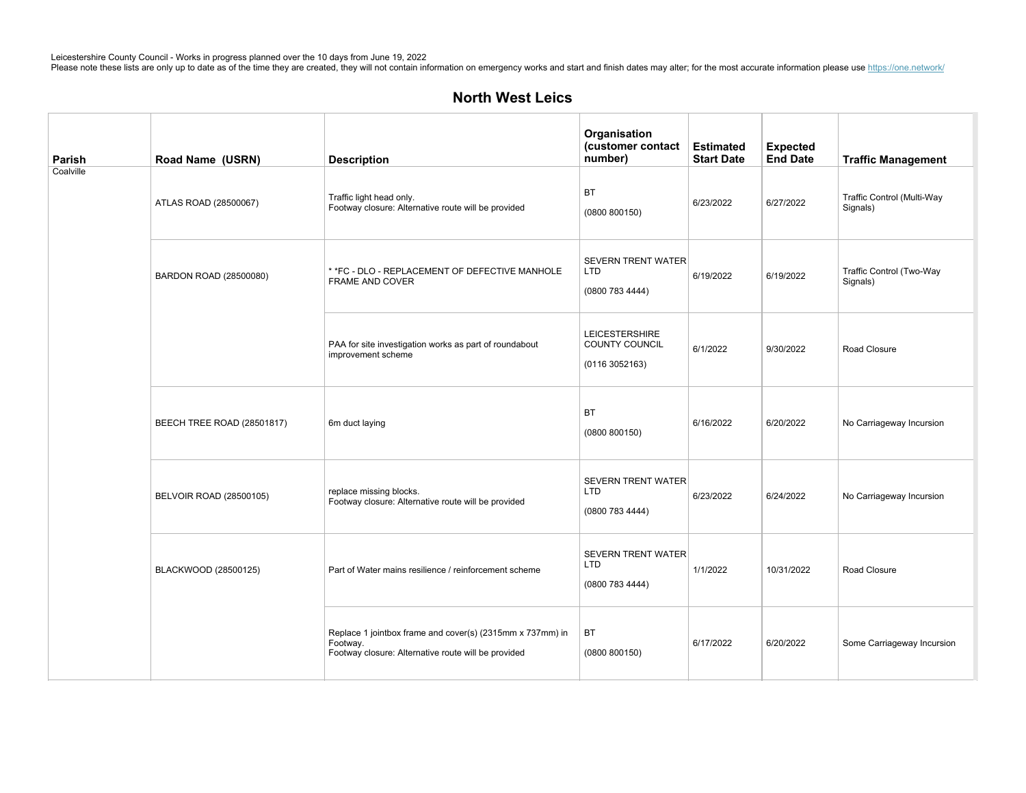# **North West Leics**

| Parish    | Road Name (USRN)           | <b>Description</b>                                                                                                           | Organisation<br>(customer contact<br>number)               | <b>Estimated</b><br><b>Start Date</b> | <b>Expected</b><br><b>End Date</b> | <b>Traffic Management</b>              |
|-----------|----------------------------|------------------------------------------------------------------------------------------------------------------------------|------------------------------------------------------------|---------------------------------------|------------------------------------|----------------------------------------|
| Coalville | ATLAS ROAD (28500067)      | Traffic light head only.<br>Footway closure: Alternative route will be provided                                              | <b>BT</b><br>(0800 800150)                                 | 6/23/2022                             | 6/27/2022                          | Traffic Control (Multi-Way<br>Signals) |
|           | BARDON ROAD (28500080)     | * *FC - DLO - REPLACEMENT OF DEFECTIVE MANHOLE<br><b>FRAME AND COVER</b>                                                     | <b>SEVERN TRENT WATER</b><br>LTD<br>(0800 783 4444)        | 6/19/2022                             | 6/19/2022                          | Traffic Control (Two-Way<br>Signals)   |
|           |                            | PAA for site investigation works as part of roundabout<br>improvement scheme                                                 | <b>LEICESTERSHIRE</b><br>COUNTY COUNCIL<br>(01163052163)   | 6/1/2022                              | 9/30/2022                          | Road Closure                           |
|           | BEECH TREE ROAD (28501817) | 6m duct laying                                                                                                               | <b>BT</b><br>(0800 800150)                                 | 6/16/2022                             | 6/20/2022                          | No Carriageway Incursion               |
|           | BELVOIR ROAD (28500105)    | replace missing blocks.<br>Footway closure: Alternative route will be provided                                               | <b>SEVERN TRENT WATER</b><br>LTD<br>(08007834444)          | 6/23/2022                             | 6/24/2022                          | No Carriageway Incursion               |
|           | BLACKWOOD (28500125)       | Part of Water mains resilience / reinforcement scheme                                                                        | <b>SEVERN TRENT WATER</b><br><b>LTD</b><br>(0800 783 4444) | 1/1/2022                              | 10/31/2022                         | Road Closure                           |
|           |                            | Replace 1 jointbox frame and cover(s) (2315mm x 737mm) in<br>Footway.<br>Footway closure: Alternative route will be provided | BT<br>(0800 800150)                                        | 6/17/2022                             | 6/20/2022                          | Some Carriageway Incursion             |

BRADGATEDRIVE(28500144) Alltermsandconditionsapplyincludingearlyupliftifrequired.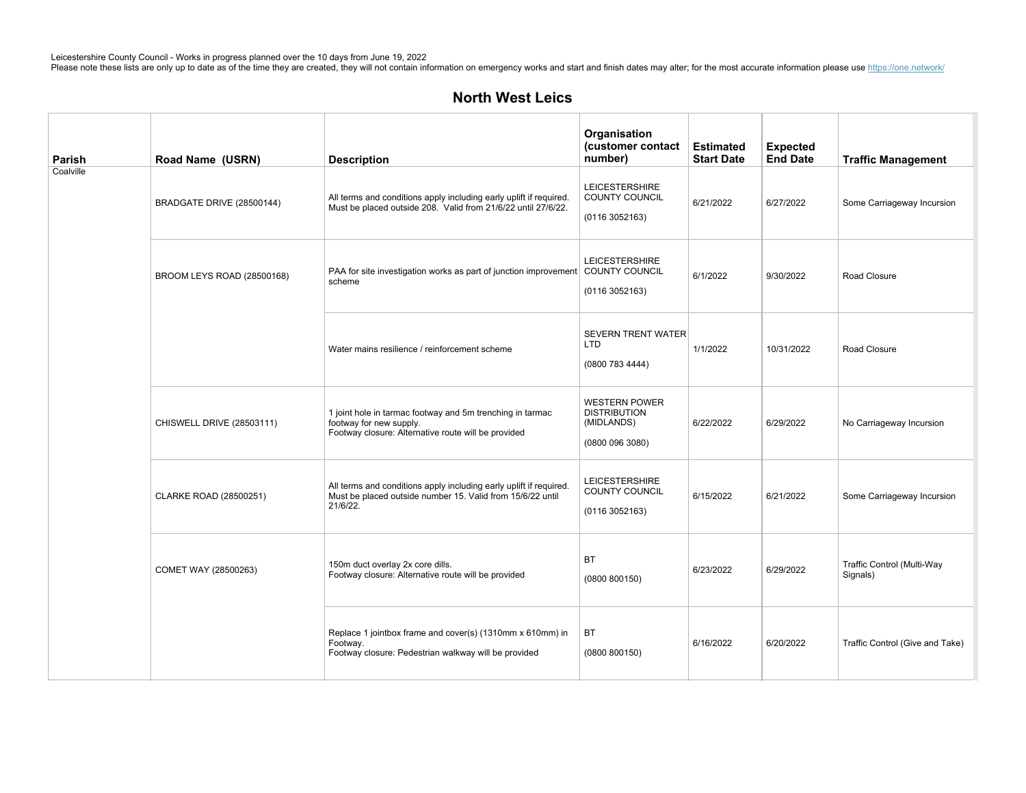| Parish    | Road Name (USRN)           | <b>Description</b>                                                                                                                           | Organisation<br>(customer contact<br>number)                                 | <b>Estimated</b><br><b>Start Date</b> | <b>Expected</b><br><b>End Date</b> | <b>Traffic Management</b>              |
|-----------|----------------------------|----------------------------------------------------------------------------------------------------------------------------------------------|------------------------------------------------------------------------------|---------------------------------------|------------------------------------|----------------------------------------|
| Coalville | BRADGATE DRIVE (28500144)  | All terms and conditions apply including early uplift if required.<br>Must be placed outside 208. Valid from 21/6/22 until 27/6/22.          | <b>LEICESTERSHIRE</b><br>COUNTY COUNCIL<br>(01163052163)                     | 6/21/2022                             | 6/27/2022                          | Some Carriageway Incursion             |
|           | BROOM LEYS ROAD (28500168) | PAA for site investigation works as part of junction improvement COUNTY COUNCIL<br>scheme                                                    | <b>LEICESTERSHIRE</b><br>(0116 3052163)                                      | 6/1/2022                              | 9/30/2022                          | Road Closure                           |
|           |                            | Water mains resilience / reinforcement scheme                                                                                                | <b>SEVERN TRENT WATER</b><br><b>LTD</b><br>(0800 783 4444)                   | 1/1/2022                              | 10/31/2022                         | Road Closure                           |
|           | CHISWELL DRIVE (28503111)  | 1 joint hole in tarmac footway and 5m trenching in tarmac<br>footway for new supply.<br>Footway closure: Alternative route will be provided  | <b>WESTERN POWER</b><br><b>DISTRIBUTION</b><br>(MIDLANDS)<br>(0800 096 3080) | 6/22/2022                             | 6/29/2022                          | No Carriageway Incursion               |
|           | CLARKE ROAD (28500251)     | All terms and conditions apply including early uplift if required.<br>Must be placed outside number 15. Valid from 15/6/22 until<br>21/6/22. | <b>LEICESTERSHIRE</b><br>COUNTY COUNCIL<br>(0116 3052163)                    | 6/15/2022                             | 6/21/2022                          | Some Carriageway Incursion             |
|           | COMET WAY (28500263)       | 150m duct overlay 2x core dills.<br>Footway closure: Alternative route will be provided                                                      | <b>BT</b><br>(0800 800150)                                                   | 6/23/2022                             | 6/29/2022                          | Traffic Control (Multi-Way<br>Signals) |
|           |                            | Replace 1 jointbox frame and cover(s) (1310mm x 610mm) in<br>Footway.<br>Footway closure: Pedestrian walkway will be provided                | BT<br>(0800 800150)                                                          | 6/16/2022                             | 6/20/2022                          | Traffic Control (Give and Take)        |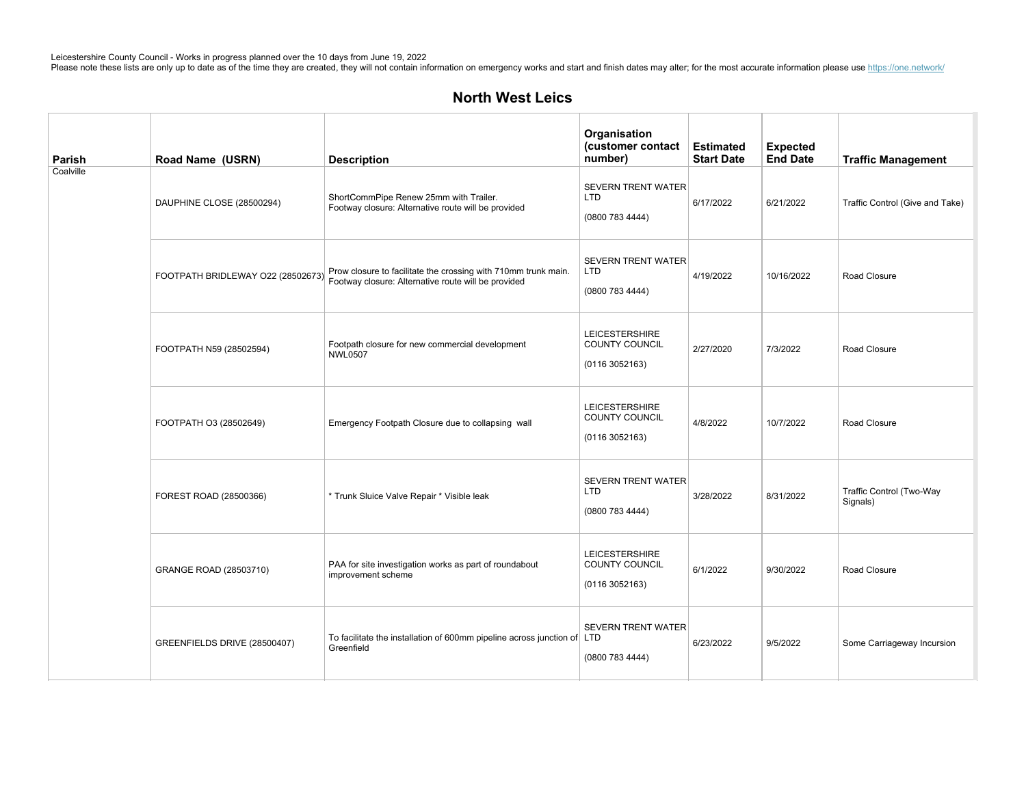| Parish    | Road Name (USRN)                  | <b>Description</b>                                                                                                    | Organisation<br>(customer contact<br>number)                    | <b>Estimated</b><br><b>Start Date</b> | <b>Expected</b><br><b>End Date</b> | <b>Traffic Management</b>            |
|-----------|-----------------------------------|-----------------------------------------------------------------------------------------------------------------------|-----------------------------------------------------------------|---------------------------------------|------------------------------------|--------------------------------------|
| Coalville | DAUPHINE CLOSE (28500294)         | ShortCommPipe Renew 25mm with Trailer.<br>Footway closure: Alternative route will be provided                         | <b>SEVERN TRENT WATER</b><br>LTD<br>(0800 783 4444)             | 6/17/2022                             | 6/21/2022                          | Traffic Control (Give and Take)      |
|           | FOOTPATH BRIDLEWAY O22 (28502673) | Prow closure to facilitate the crossing with 710mm trunk main.<br>Footway closure: Alternative route will be provided | <b>SEVERN TRENT WATER</b><br><b>LTD</b><br>(0800 783 4444)      | 4/19/2022                             | 10/16/2022                         | Road Closure                         |
|           | FOOTPATH N59 (28502594)           | Footpath closure for new commercial development<br><b>NWL0507</b>                                                     | <b>LEICESTERSHIRE</b><br><b>COUNTY COUNCIL</b><br>(01163052163) | 2/27/2020                             | 7/3/2022                           | Road Closure                         |
|           | FOOTPATH O3 (28502649)            | Emergency Footpath Closure due to collapsing wall                                                                     | <b>LEICESTERSHIRE</b><br>COUNTY COUNCIL<br>(01163052163)        | 4/8/2022                              | 10/7/2022                          | Road Closure                         |
|           | FOREST ROAD (28500366)            | * Trunk Sluice Valve Repair * Visible leak                                                                            | <b>SEVERN TRENT WATER</b><br><b>LTD</b><br>(0800 783 4444)      | 3/28/2022                             | 8/31/2022                          | Traffic Control (Two-Way<br>Signals) |
|           | GRANGE ROAD (28503710)            | PAA for site investigation works as part of roundabout<br>improvement scheme                                          | <b>LEICESTERSHIRE</b><br>COUNTY COUNCIL<br>(01163052163)        | 6/1/2022                              | 9/30/2022                          | Road Closure                         |
|           | GREENFIELDS DRIVE (28500407)      | To facilitate the installation of 600mm pipeline across junction of LTD<br>Greenfield                                 | SEVERN TRENT WATER<br>(0800 783 4444)                           | 6/23/2022                             | 9/5/2022                           | Some Carriageway Incursion           |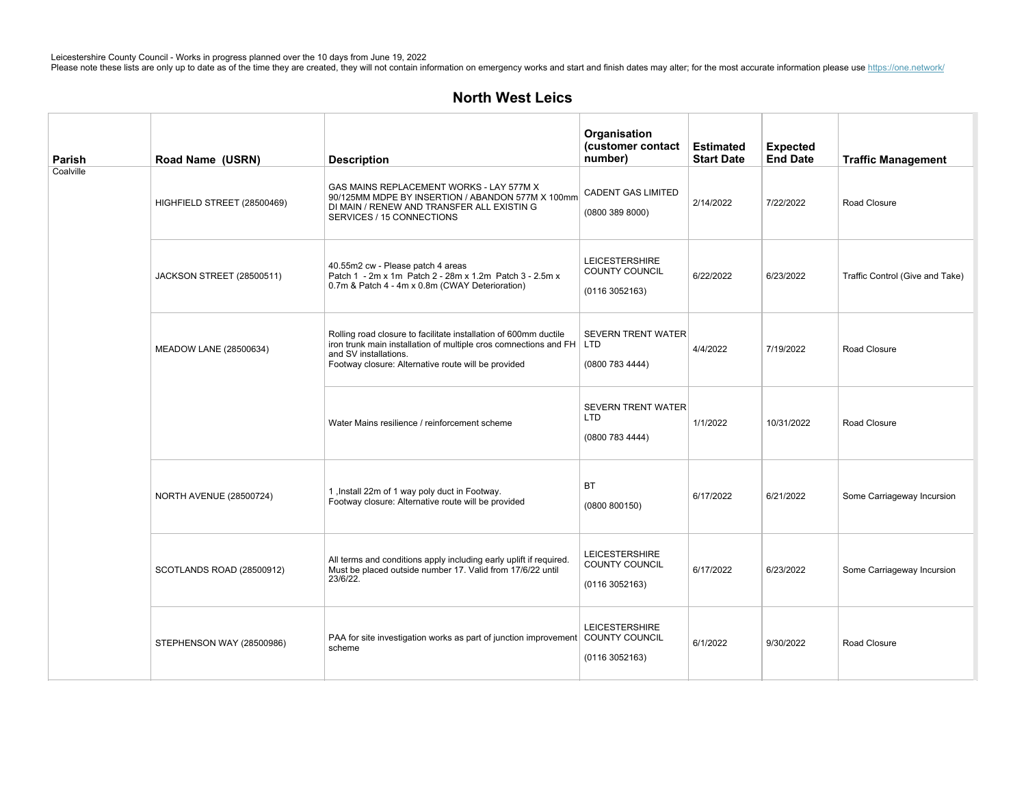| Parish    | Road Name (USRN)            | <b>Description</b>                                                                                                                                                                                                         | Organisation<br>(customer contact<br>number)                     | <b>Estimated</b><br><b>Start Date</b> | <b>Expected</b><br><b>End Date</b> | <b>Traffic Management</b>       |
|-----------|-----------------------------|----------------------------------------------------------------------------------------------------------------------------------------------------------------------------------------------------------------------------|------------------------------------------------------------------|---------------------------------------|------------------------------------|---------------------------------|
| Coalville | HIGHFIELD STREET (28500469) | GAS MAINS REPLACEMENT WORKS - LAY 577M X<br>90/125MM MDPE BY INSERTION / ABANDON 577M X 100mm<br>DI MAIN / RENEW AND TRANSFER ALL EXISTIN G<br>SERVICES / 15 CONNECTIONS                                                   | <b>CADENT GAS LIMITED</b><br>(0800 389 8000)                     | 2/14/2022                             | 7/22/2022                          | Road Closure                    |
|           | JACKSON STREET (28500511)   | 40.55m2 cw - Please patch 4 areas<br>Patch 1 - 2m x 1m Patch 2 - 28m x 1.2m Patch 3 - 2.5m x<br>0.7m & Patch 4 - 4m x 0.8m (CWAY Deterioration)                                                                            | <b>LEICESTERSHIRE</b><br><b>COUNTY COUNCIL</b><br>(0116 3052163) | 6/22/2022                             | 6/23/2022                          | Traffic Control (Give and Take) |
|           | MEADOW LANE (28500634)      | Rolling road closure to facilitate installation of 600mm ductile<br>iron trunk main installation of multiple cros comnections and FH   LTD<br>and SV installations.<br>Footway closure: Alternative route will be provided | <b>SEVERN TRENT WATER</b><br>(0800 783 4444)                     | 4/4/2022                              | 7/19/2022                          | Road Closure                    |
|           |                             | Water Mains resilience / reinforcement scheme                                                                                                                                                                              | <b>SEVERN TRENT WATER</b><br>LTD<br>(0800 783 4444)              | 1/1/2022                              | 10/31/2022                         | Road Closure                    |
|           | NORTH AVENUE (28500724)     | 1, Install 22m of 1 way poly duct in Footway.<br>Footway closure: Alternative route will be provided                                                                                                                       | <b>BT</b><br>(0800 800150)                                       | 6/17/2022                             | 6/21/2022                          | Some Carriageway Incursion      |
|           | SCOTLANDS ROAD (28500912)   | All terms and conditions apply including early uplift if required.<br>Must be placed outside number 17. Valid from 17/6/22 until<br>23/6/22.                                                                               | <b>LEICESTERSHIRE</b><br><b>COUNTY COUNCIL</b><br>(0116 3052163) | 6/17/2022                             | 6/23/2022                          | Some Carriageway Incursion      |
|           | STEPHENSON WAY (28500986)   | PAA for site investigation works as part of junction improvement COUNTY COUNCIL<br>scheme                                                                                                                                  | <b>LEICESTERSHIRE</b><br>(01163052163)                           | 6/1/2022                              | 9/30/2022                          | Road Closure                    |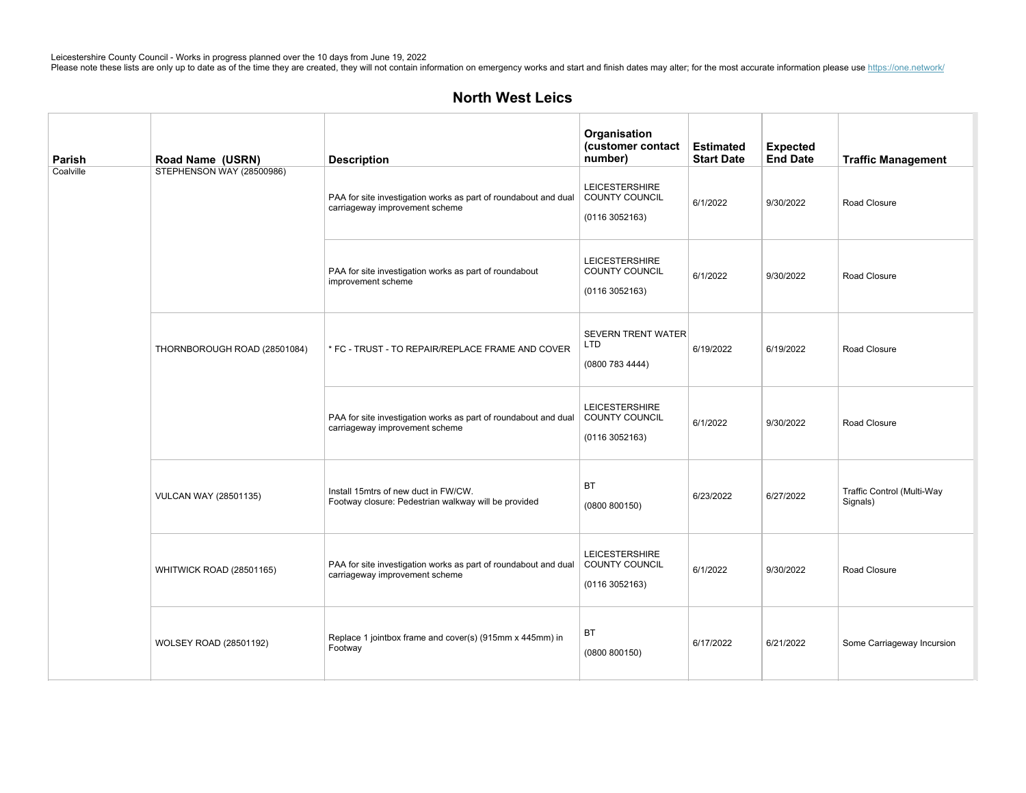| Parish    | Road Name (USRN)             | <b>Description</b>                                                                                                 | Organisation<br>(customer contact<br>number)             | <b>Estimated</b><br><b>Start Date</b> | <b>Expected</b><br><b>End Date</b> | <b>Traffic Management</b>              |
|-----------|------------------------------|--------------------------------------------------------------------------------------------------------------------|----------------------------------------------------------|---------------------------------------|------------------------------------|----------------------------------------|
| Coalville | STEPHENSON WAY (28500986)    | PAA for site investigation works as part of roundabout and dual<br>carriageway improvement scheme                  | <b>LEICESTERSHIRE</b><br>COUNTY COUNCIL<br>(01163052163) | 6/1/2022                              | 9/30/2022                          | Road Closure                           |
|           |                              | PAA for site investigation works as part of roundabout<br>improvement scheme                                       | <b>LEICESTERSHIRE</b><br>COUNTY COUNCIL<br>(01163052163) | 6/1/2022                              | 9/30/2022                          | Road Closure                           |
|           | THORNBOROUGH ROAD (28501084) | * FC - TRUST - TO REPAIR/REPLACE FRAME AND COVER                                                                   | <b>SEVERN TRENT WATER</b><br>LTD<br>(0800 783 4444)      | 6/19/2022                             | 6/19/2022                          | Road Closure                           |
|           |                              | PAA for site investigation works as part of roundabout and dual<br>carriageway improvement scheme                  | <b>LEICESTERSHIRE</b><br>COUNTY COUNCIL<br>(01163052163) | 6/1/2022                              | 9/30/2022                          | Road Closure                           |
|           | <b>VULCAN WAY (28501135)</b> | Install 15mtrs of new duct in FW/CW.<br>Footway closure: Pedestrian walkway will be provided                       | <b>BT</b><br>(0800 800150)                               | 6/23/2022                             | 6/27/2022                          | Traffic Control (Multi-Way<br>Signals) |
|           | WHITWICK ROAD (28501165)     | PAA for site investigation works as part of roundabout and dual   COUNTY COUNCIL<br>carriageway improvement scheme | <b>LEICESTERSHIRE</b><br>(01163052163)                   | 6/1/2022                              | 9/30/2022                          | Road Closure                           |
|           | WOLSEY ROAD (28501192)       | Replace 1 jointbox frame and cover(s) (915mm x 445mm) in<br>Footway                                                | ВT<br>(0800 800150)                                      | 6/17/2022                             | 6/21/2022                          | Some Carriageway Incursion             |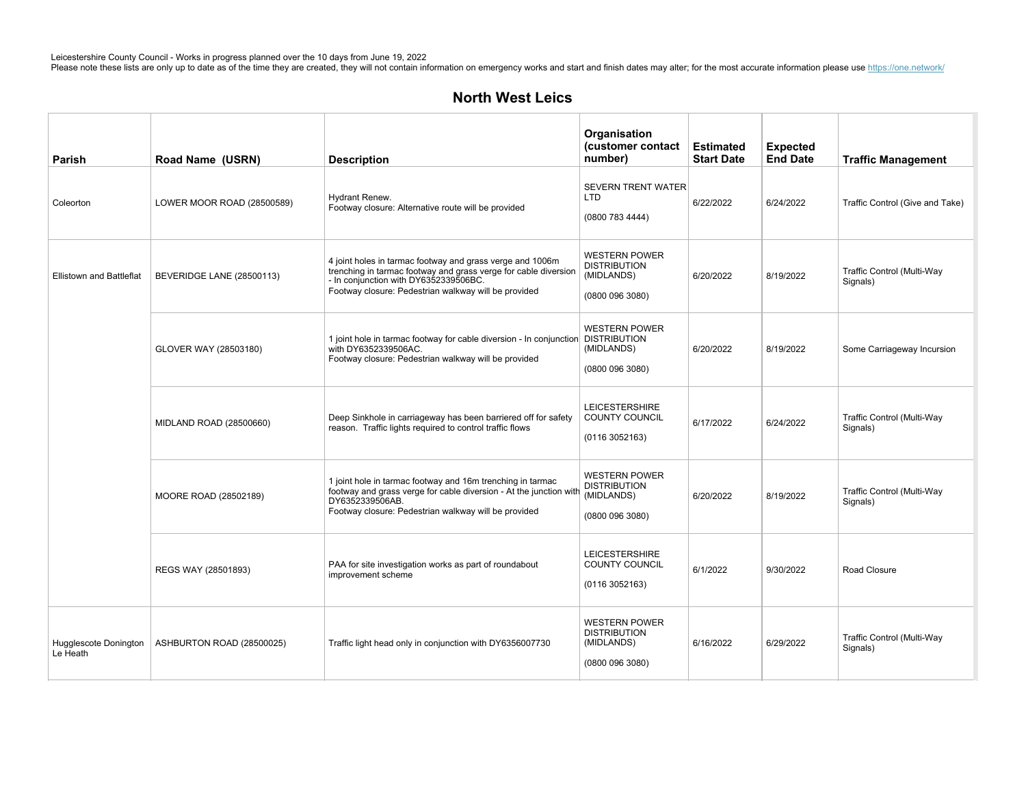| Parish                            | Road Name (USRN)           | <b>Description</b>                                                                                                                                                                                                            | Organisation<br>(customer contact<br>number)                                 | <b>Estimated</b><br><b>Start Date</b> | <b>Expected</b><br><b>End Date</b> | <b>Traffic Management</b>              |
|-----------------------------------|----------------------------|-------------------------------------------------------------------------------------------------------------------------------------------------------------------------------------------------------------------------------|------------------------------------------------------------------------------|---------------------------------------|------------------------------------|----------------------------------------|
| Coleorton                         | LOWER MOOR ROAD (28500589) | Hydrant Renew.<br>Footway closure: Alternative route will be provided                                                                                                                                                         | <b>SEVERN TRENT WATER</b><br><b>LTD</b><br>(0800 783 4444)                   | 6/22/2022                             | 6/24/2022                          | Traffic Control (Give and Take)        |
| <b>Ellistown and Battleflat</b>   | BEVERIDGE LANE (28500113)  | 4 joint holes in tarmac footway and grass verge and 1006m<br>trenching in tarmac footway and grass verge for cable diversion<br>- In conjunction with DY6352339506BC.<br>Footway closure: Pedestrian walkway will be provided | <b>WESTERN POWER</b><br><b>DISTRIBUTION</b><br>(MIDLANDS)<br>(0800 096 3080) | 6/20/2022                             | 8/19/2022                          | Traffic Control (Multi-Way<br>Signals) |
|                                   | GLOVER WAY (28503180)      | 1 joint hole in tarmac footway for cable diversion - In conjunction DISTRIBUTION<br>with DY6352339506AC.<br>Footway closure: Pedestrian walkway will be provided                                                              | <b>WESTERN POWER</b><br>(MIDLANDS)<br>(0800 096 3080)                        | 6/20/2022                             | 8/19/2022                          | Some Carriageway Incursion             |
|                                   | MIDLAND ROAD (28500660)    | Deep Sinkhole in carriageway has been barriered off for safety<br>reason. Traffic lights required to control traffic flows                                                                                                    | <b>LEICESTERSHIRE</b><br><b>COUNTY COUNCIL</b><br>(01163052163)              | 6/17/2022                             | 6/24/2022                          | Traffic Control (Multi-Way<br>Signals) |
|                                   | MOORE ROAD (28502189)      | 1 joint hole in tarmac footway and 16m trenching in tarmac<br>footway and grass verge for cable diversion - At the junction with<br>DY6352339506AB.<br>Footway closure: Pedestrian walkway will be provided                   | <b>WESTERN POWER</b><br><b>DISTRIBUTION</b><br>(MIDLANDS)<br>(0800 096 3080) | 6/20/2022                             | 8/19/2022                          | Traffic Control (Multi-Way<br>Signals) |
|                                   | REGS WAY (28501893)        | PAA for site investigation works as part of roundabout<br>improvement scheme                                                                                                                                                  | <b>LEICESTERSHIRE</b><br>COUNTY COUNCIL<br>(0116 3052163)                    | 6/1/2022                              | 9/30/2022                          | Road Closure                           |
| Hugglescote Donington<br>Le Heath | ASHBURTON ROAD (28500025)  | Traffic light head only in conjunction with DY6356007730                                                                                                                                                                      | <b>WESTERN POWER</b><br><b>DISTRIBUTION</b><br>(MIDLANDS)<br>(0800 096 3080) | 6/16/2022                             | 6/29/2022                          | Traffic Control (Multi-Way<br>Signals) |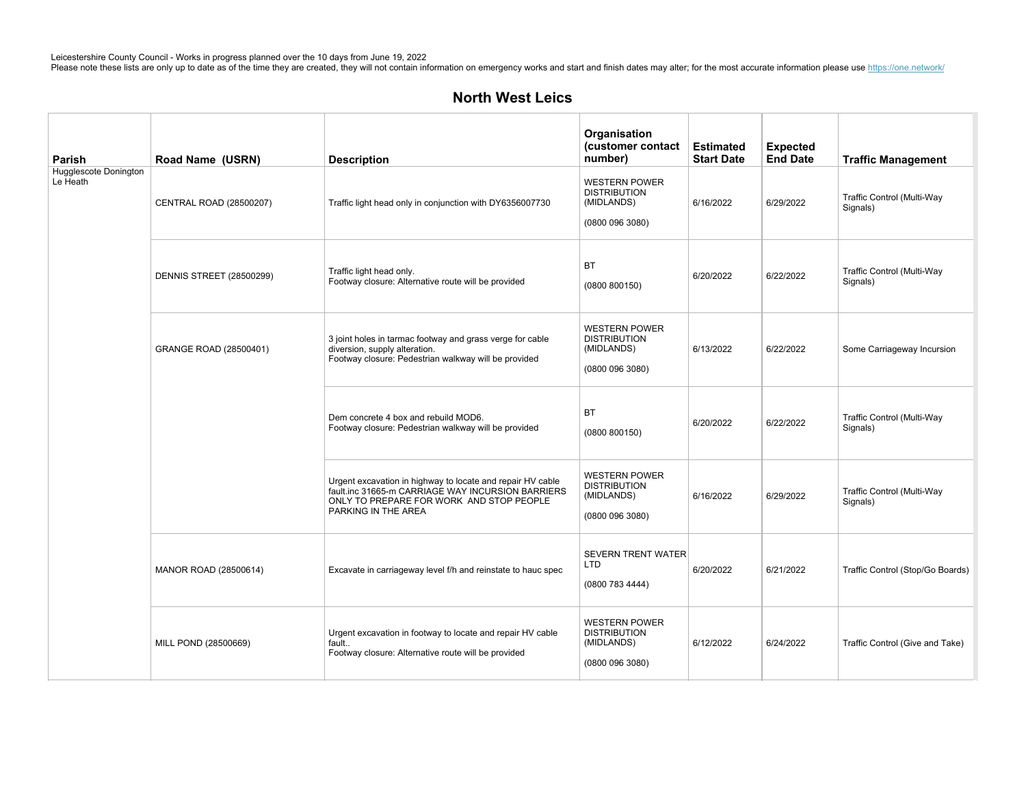| Parish                            | Road Name (USRN)                | <b>Description</b>                                                                                                                                                                 | Organisation<br>(customer contact<br>number)                                 | <b>Estimated</b><br><b>Start Date</b> | <b>Expected</b><br><b>End Date</b> | <b>Traffic Management</b>              |
|-----------------------------------|---------------------------------|------------------------------------------------------------------------------------------------------------------------------------------------------------------------------------|------------------------------------------------------------------------------|---------------------------------------|------------------------------------|----------------------------------------|
| Hugglescote Donington<br>Le Heath | CENTRAL ROAD (28500207)         | Traffic light head only in conjunction with DY6356007730                                                                                                                           | <b>WESTERN POWER</b><br><b>DISTRIBUTION</b><br>(MIDLANDS)<br>(08000963080)   | 6/16/2022                             | 6/29/2022                          | Traffic Control (Multi-Way<br>Signals) |
|                                   | <b>DENNIS STREET (28500299)</b> | Traffic light head only.<br>Footway closure: Alternative route will be provided                                                                                                    | <b>BT</b><br>(0800 800150)                                                   | 6/20/2022                             | 6/22/2022                          | Traffic Control (Multi-Way<br>Signals) |
|                                   | GRANGE ROAD (28500401)          | 3 joint holes in tarmac footway and grass verge for cable<br>diversion, supply alteration.<br>Footway closure: Pedestrian walkway will be provided                                 | <b>WESTERN POWER</b><br><b>DISTRIBUTION</b><br>(MIDLANDS)<br>(08000963080)   | 6/13/2022                             | 6/22/2022                          | Some Carriageway Incursion             |
|                                   |                                 | Dem concrete 4 box and rebuild MOD6.<br>Footway closure: Pedestrian walkway will be provided                                                                                       | BT<br>(0800 800150)                                                          | 6/20/2022                             | 6/22/2022                          | Traffic Control (Multi-Way<br>Signals) |
|                                   |                                 | Urgent excavation in highway to locate and repair HV cable<br>fault.inc 31665-m CARRIAGE WAY INCURSION BARRIERS<br>ONLY TO PREPARE FOR WORK AND STOP PEOPLE<br>PARKING IN THE AREA | <b>WESTERN POWER</b><br><b>DISTRIBUTION</b><br>(MIDLANDS)<br>(08000963080)   | 6/16/2022                             | 6/29/2022                          | Traffic Control (Multi-Way<br>Signals) |
|                                   | MANOR ROAD (28500614)           | Excavate in carriageway level f/h and reinstate to hauc spec                                                                                                                       | <b>SEVERN TRENT WATER</b><br><b>LTD</b><br>(0800 783 4444)                   | 6/20/2022                             | 6/21/2022                          | Traffic Control (Stop/Go Boards)       |
|                                   | MILL POND (28500669)            | Urgent excavation in footway to locate and repair HV cable<br>fault<br>Footway closure: Alternative route will be provided                                                         | <b>WESTERN POWER</b><br><b>DISTRIBUTION</b><br>(MIDLANDS)<br>(0800 096 3080) | 6/12/2022                             | 6/24/2022                          | Traffic Control (Give and Take)        |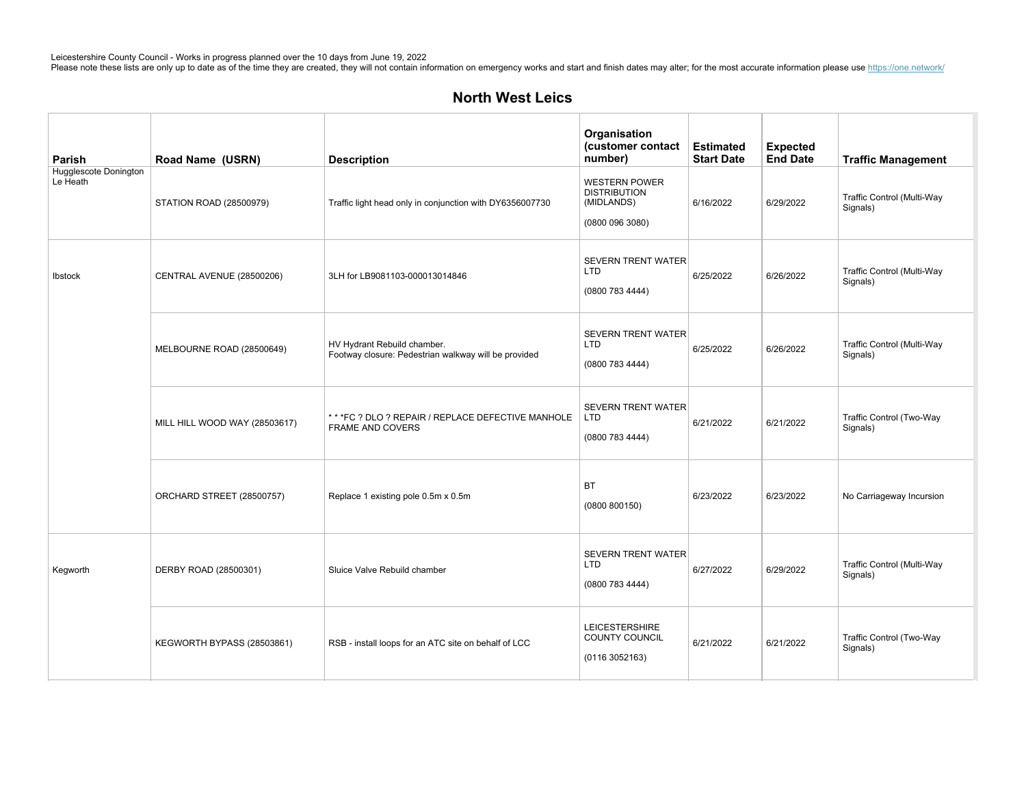| Parish                            | Road Name (USRN)              | <b>Description</b>                                                                  | Organisation<br>(customer contact<br>number)                                 | <b>Estimated</b><br><b>Start Date</b> | <b>Expected</b><br><b>End Date</b> | <b>Traffic Management</b>              |
|-----------------------------------|-------------------------------|-------------------------------------------------------------------------------------|------------------------------------------------------------------------------|---------------------------------------|------------------------------------|----------------------------------------|
| Hugglescote Donington<br>Le Heath | STATION ROAD (28500979)       | Traffic light head only in conjunction with DY6356007730                            | <b>WESTERN POWER</b><br><b>DISTRIBUTION</b><br>(MIDLANDS)<br>(0800 096 3080) | 6/16/2022                             | 6/29/2022                          | Traffic Control (Multi-Way<br>Signals) |
| Ibstock                           | CENTRAL AVENUE (28500206)     | 3LH for LB9081103-000013014846                                                      | <b>SEVERN TRENT WATER</b><br><b>LTD</b><br>(0800 783 4444)                   | 6/25/2022                             | 6/26/2022                          | Traffic Control (Multi-Way<br>Signals) |
|                                   | MELBOURNE ROAD (28500649)     | HV Hydrant Rebuild chamber.<br>Footway closure: Pedestrian walkway will be provided | <b>SEVERN TRENT WATER</b><br><b>LTD</b><br>(0800 783 4444)                   | 6/25/2022                             | 6/26/2022                          | Traffic Control (Multi-Way<br>Signals) |
|                                   | MILL HILL WOOD WAY (28503617) | ** *FC ? DLO ? REPAIR / REPLACE DEFECTIVE MANHOLE<br>FRAME AND COVERS               | <b>SEVERN TRENT WATER</b><br>L <sub>TD</sub><br>(0800 783 4444)              | 6/21/2022                             | 6/21/2022                          | Traffic Control (Two-Way<br>Signals)   |
|                                   | ORCHARD STREET (28500757)     | Replace 1 existing pole 0.5m x 0.5m                                                 | <b>BT</b><br>(0800 800150)                                                   | 6/23/2022                             | 6/23/2022                          | No Carriageway Incursion               |
| Kegworth                          | DERBY ROAD (28500301)         | Sluice Valve Rebuild chamber                                                        | <b>SEVERN TRENT WATER</b><br><b>LTD</b><br>(0800 783 4444)                   | 6/27/2022                             | 6/29/2022                          | Traffic Control (Multi-Way<br>Signals) |
|                                   | KEGWORTH BYPASS (28503861)    | RSB - install loops for an ATC site on behalf of LCC                                | <b>LEICESTERSHIRE</b><br>COUNTY COUNCIL<br>(01163052163)                     | 6/21/2022                             | 6/21/2022                          | Traffic Control (Two-Way<br>Signals)   |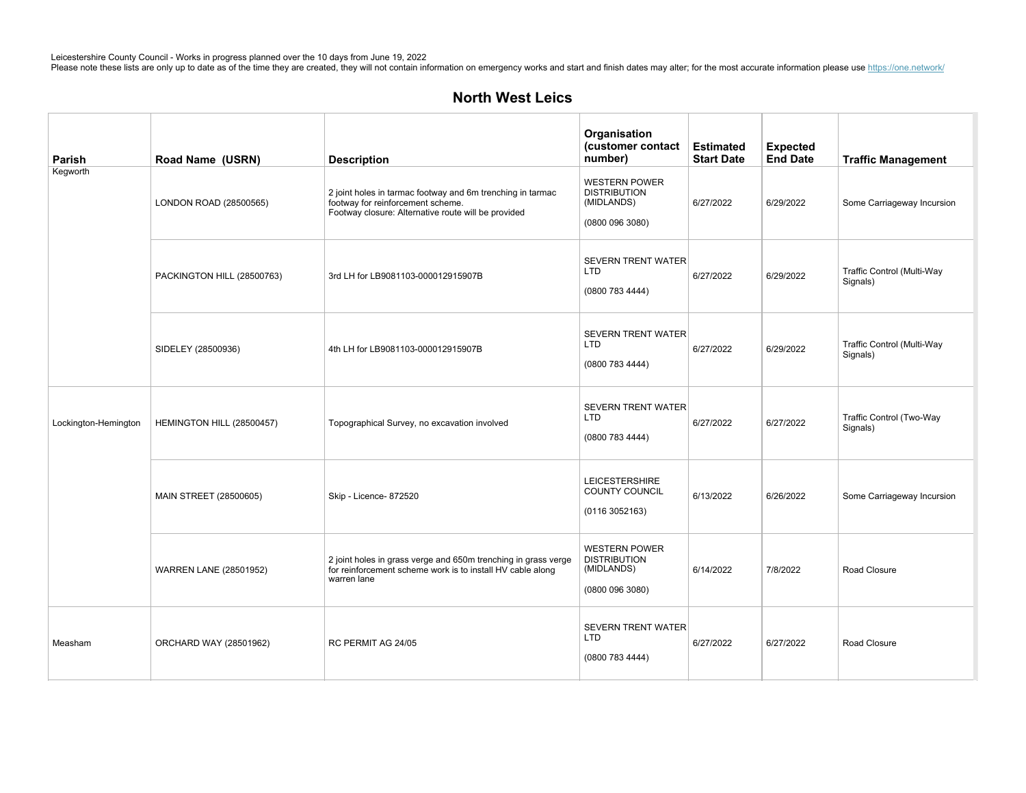| Parish               | Road Name (USRN)              | <b>Description</b>                                                                                                                                     | Organisation<br>(customer contact<br>number)                                 | <b>Estimated</b><br><b>Start Date</b> | <b>Expected</b><br><b>End Date</b> | <b>Traffic Management</b>              |
|----------------------|-------------------------------|--------------------------------------------------------------------------------------------------------------------------------------------------------|------------------------------------------------------------------------------|---------------------------------------|------------------------------------|----------------------------------------|
| Kegworth             | LONDON ROAD (28500565)        | 2 joint holes in tarmac footway and 6m trenching in tarmac<br>footway for reinforcement scheme.<br>Footway closure: Alternative route will be provided | <b>WESTERN POWER</b><br><b>DISTRIBUTION</b><br>(MIDLANDS)<br>(0800 096 3080) | 6/27/2022                             | 6/29/2022                          | Some Carriageway Incursion             |
|                      | PACKINGTON HILL (28500763)    | 3rd LH for LB9081103-000012915907B                                                                                                                     | <b>SEVERN TRENT WATER</b><br><b>LTD</b><br>(0800 783 4444)                   | 6/27/2022                             | 6/29/2022                          | Traffic Control (Multi-Way<br>Signals) |
|                      | SIDELEY (28500936)            | 4th LH for LB9081103-000012915907B                                                                                                                     | <b>SEVERN TRENT WATER</b><br><b>LTD</b><br>(0800 783 4444)                   | 6/27/2022                             | 6/29/2022                          | Traffic Control (Multi-Way<br>Signals) |
| Lockington-Hemington | HEMINGTON HILL (28500457)     | Topographical Survey, no excavation involved                                                                                                           | SEVERN TRENT WATER<br><b>LTD</b><br>(0800 783 4444)                          | 6/27/2022                             | 6/27/2022                          | Traffic Control (Two-Way<br>Signals)   |
|                      | MAIN STREET (28500605)        | Skip - Licence- 872520                                                                                                                                 | <b>LEICESTERSHIRE</b><br>COUNTY COUNCIL<br>(01163052163)                     | 6/13/2022                             | 6/26/2022                          | Some Carriageway Incursion             |
|                      | <b>WARREN LANE (28501952)</b> | 2 joint holes in grass verge and 650m trenching in grass verge<br>for reinforcement scheme work is to install HV cable along<br>warren lane            | <b>WESTERN POWER</b><br><b>DISTRIBUTION</b><br>(MIDLANDS)<br>(0800 096 3080) | 6/14/2022                             | 7/8/2022                           | Road Closure                           |
| Measham              | ORCHARD WAY (28501962)        | RC PERMIT AG 24/05                                                                                                                                     | <b>SEVERN TRENT WATER</b><br><b>LTD</b><br>(0800 783 4444)                   | 6/27/2022                             | 6/27/2022                          | Road Closure                           |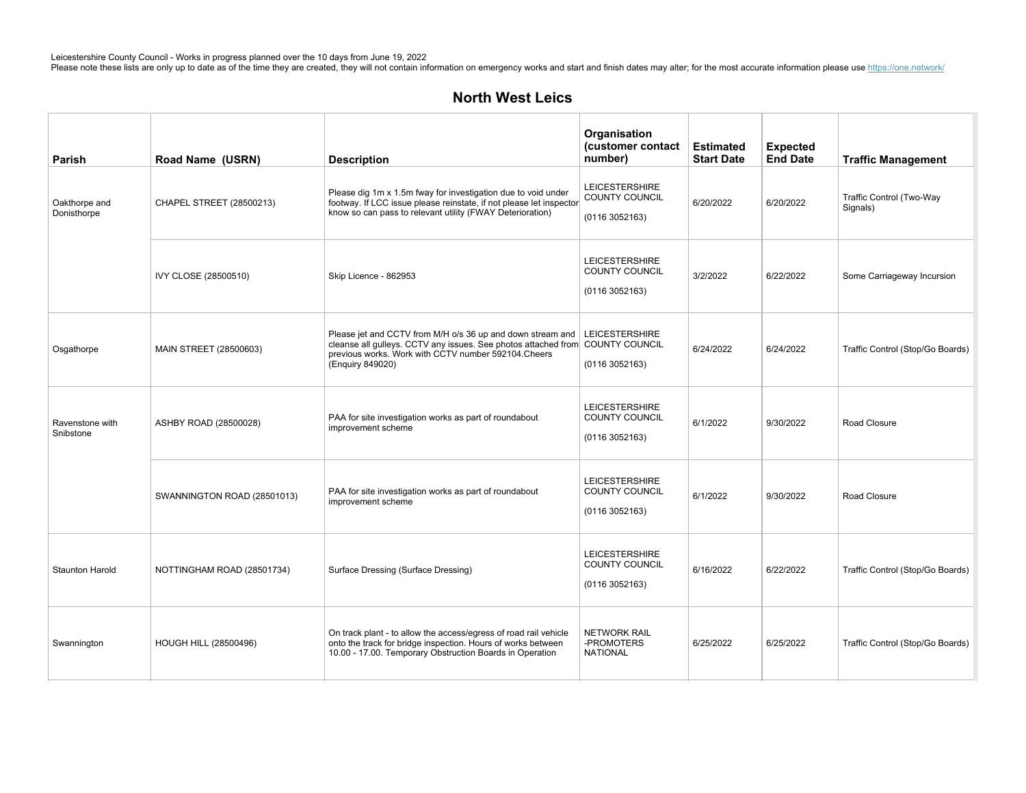| Parish                       | Road Name (USRN)             | <b>Description</b>                                                                                                                                                                                                                       | Organisation<br>(customer contact<br>number)                     | <b>Estimated</b><br><b>Start Date</b> | <b>Expected</b><br><b>End Date</b> | <b>Traffic Management</b>            |
|------------------------------|------------------------------|------------------------------------------------------------------------------------------------------------------------------------------------------------------------------------------------------------------------------------------|------------------------------------------------------------------|---------------------------------------|------------------------------------|--------------------------------------|
| Oakthorpe and<br>Donisthorpe | CHAPEL STREET (28500213)     | Please dig 1m x 1.5m fway for investigation due to void under<br>footway. If LCC issue please reinstate, if not please let inspector<br>know so can pass to relevant utility (FWAY Deterioration)                                        | <b>LEICESTERSHIRE</b><br>COUNTY COUNCIL<br>(01163052163)         | 6/20/2022                             | 6/20/2022                          | Traffic Control (Two-Way<br>Signals) |
|                              | IVY CLOSE (28500510)         | Skip Licence - 862953                                                                                                                                                                                                                    | <b>LEICESTERSHIRE</b><br><b>COUNTY COUNCIL</b><br>(01163052163)  | 3/2/2022                              | 6/22/2022                          | Some Carriageway Incursion           |
| Osgathorpe                   | MAIN STREET (28500603)       | Please jet and CCTV from M/H o/s 36 up and down stream and   LEICESTERSHIRE<br>cleanse all gulleys. CCTV any issues. See photos attached from COUNTY COUNCIL<br>previous works. Work with CCTV number 592104. Cheers<br>(Enguiry 849020) | (01163052163)                                                    | 6/24/2022                             | 6/24/2022                          | Traffic Control (Stop/Go Boards)     |
| Ravenstone with<br>Snibstone | ASHBY ROAD (28500028)        | PAA for site investigation works as part of roundabout<br>improvement scheme                                                                                                                                                             | <b>LEICESTERSHIRE</b><br><b>COUNTY COUNCIL</b><br>(01163052163)  | 6/1/2022                              | 9/30/2022                          | Road Closure                         |
|                              | SWANNINGTON ROAD (28501013)  | PAA for site investigation works as part of roundabout<br>improvement scheme                                                                                                                                                             | <b>LEICESTERSHIRE</b><br><b>COUNTY COUNCIL</b><br>(0116 3052163) | 6/1/2022                              | 9/30/2022                          | Road Closure                         |
| <b>Staunton Harold</b>       | NOTTINGHAM ROAD (28501734)   | Surface Dressing (Surface Dressing)                                                                                                                                                                                                      | <b>LEICESTERSHIRE</b><br><b>COUNTY COUNCIL</b><br>(01163052163)  | 6/16/2022                             | 6/22/2022                          | Traffic Control (Stop/Go Boards)     |
| Swannington                  | <b>HOUGH HILL (28500496)</b> | On track plant - to allow the access/egress of road rail vehicle<br>onto the track for bridge inspection. Hours of works between<br>10.00 - 17.00. Temporary Obstruction Boards in Operation                                             | <b>NETWORK RAIL</b><br>-PROMOTERS<br><b>NATIONAL</b>             | 6/25/2022                             | 6/25/2022                          | Traffic Control (Stop/Go Boards)     |